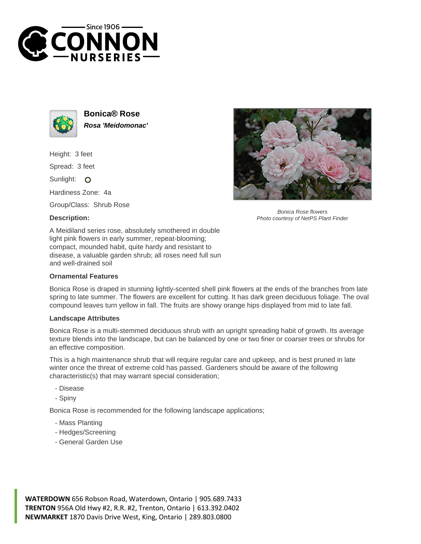



**Bonica® Rose Rosa 'Meidomonac'**

Height: 3 feet

Spread: 3 feet

Sunlight: O

Hardiness Zone: 4a

Group/Class: Shrub Rose

## **Description:**



Bonica Rose flowers Photo courtesy of NetPS Plant Finder

A Meidiland series rose, absolutely smothered in double light pink flowers in early summer, repeat-blooming; compact, mounded habit, quite hardy and resistant to disease, a valuable garden shrub; all roses need full sun and well-drained soil

## **Ornamental Features**

Bonica Rose is draped in stunning lightly-scented shell pink flowers at the ends of the branches from late spring to late summer. The flowers are excellent for cutting. It has dark green deciduous foliage. The oval compound leaves turn yellow in fall. The fruits are showy orange hips displayed from mid to late fall.

## **Landscape Attributes**

Bonica Rose is a multi-stemmed deciduous shrub with an upright spreading habit of growth. Its average texture blends into the landscape, but can be balanced by one or two finer or coarser trees or shrubs for an effective composition.

This is a high maintenance shrub that will require regular care and upkeep, and is best pruned in late winter once the threat of extreme cold has passed. Gardeners should be aware of the following characteristic(s) that may warrant special consideration;

- Disease
- Spiny

Bonica Rose is recommended for the following landscape applications;

- Mass Planting
- Hedges/Screening
- General Garden Use

**WATERDOWN** 656 Robson Road, Waterdown, Ontario | 905.689.7433 **TRENTON** 956A Old Hwy #2, R.R. #2, Trenton, Ontario | 613.392.0402 **NEWMARKET** 1870 Davis Drive West, King, Ontario | 289.803.0800